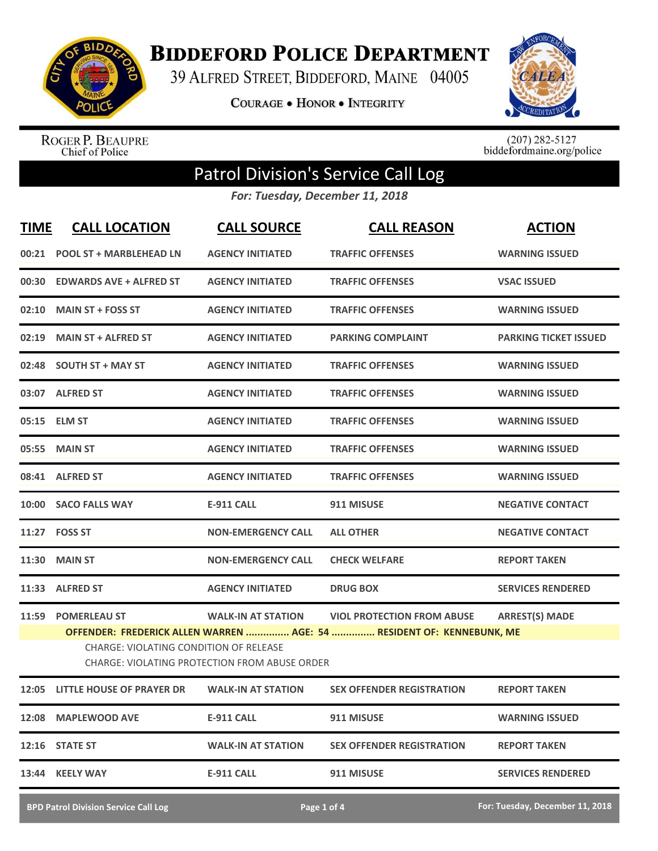

**BIDDEFORD POLICE DEPARTMENT** 

39 ALFRED STREET, BIDDEFORD, MAINE 04005

COURAGE . HONOR . INTEGRITY



ROGER P. BEAUPRE<br>Chief of Police

 $(207)$  282-5127<br>biddefordmaine.org/police

## Patrol Division's Service Call Log

*For: Tuesday, December 11, 2018*

| <b>TIME</b> | <b>CALL LOCATION</b>                                                                                                                                                           | <b>CALL SOURCE</b>        | <b>CALL REASON</b>                | <b>ACTION</b>                |  |
|-------------|--------------------------------------------------------------------------------------------------------------------------------------------------------------------------------|---------------------------|-----------------------------------|------------------------------|--|
|             | 00:21 POOL ST + MARBLEHEAD LN                                                                                                                                                  | <b>AGENCY INITIATED</b>   | <b>TRAFFIC OFFENSES</b>           | <b>WARNING ISSUED</b>        |  |
| 00:30       | <b>EDWARDS AVE + ALFRED ST</b>                                                                                                                                                 | <b>AGENCY INITIATED</b>   | <b>TRAFFIC OFFENSES</b>           | <b>VSAC ISSUED</b>           |  |
| 02:10       | <b>MAIN ST + FOSS ST</b>                                                                                                                                                       | <b>AGENCY INITIATED</b>   | <b>TRAFFIC OFFENSES</b>           | <b>WARNING ISSUED</b>        |  |
|             | 02:19 MAIN ST + ALFRED ST                                                                                                                                                      | <b>AGENCY INITIATED</b>   | <b>PARKING COMPLAINT</b>          | <b>PARKING TICKET ISSUED</b> |  |
|             | 02:48 SOUTH ST + MAY ST                                                                                                                                                        | <b>AGENCY INITIATED</b>   | <b>TRAFFIC OFFENSES</b>           | <b>WARNING ISSUED</b>        |  |
|             | 03:07 ALFRED ST                                                                                                                                                                | <b>AGENCY INITIATED</b>   | <b>TRAFFIC OFFENSES</b>           | <b>WARNING ISSUED</b>        |  |
|             | 05:15 ELM ST                                                                                                                                                                   | <b>AGENCY INITIATED</b>   | <b>TRAFFIC OFFENSES</b>           | <b>WARNING ISSUED</b>        |  |
| 05:55       | <b>MAIN ST</b>                                                                                                                                                                 | <b>AGENCY INITIATED</b>   | <b>TRAFFIC OFFENSES</b>           | <b>WARNING ISSUED</b>        |  |
|             | 08:41 ALFRED ST                                                                                                                                                                | <b>AGENCY INITIATED</b>   | <b>TRAFFIC OFFENSES</b>           | <b>WARNING ISSUED</b>        |  |
|             | 10:00 SACO FALLS WAY                                                                                                                                                           | <b>E-911 CALL</b>         | 911 MISUSE                        | <b>NEGATIVE CONTACT</b>      |  |
|             | 11:27 FOSS ST                                                                                                                                                                  | <b>NON-EMERGENCY CALL</b> | <b>ALL OTHER</b>                  | <b>NEGATIVE CONTACT</b>      |  |
| 11:30       | <b>MAIN ST</b>                                                                                                                                                                 | <b>NON-EMERGENCY CALL</b> | <b>CHECK WELFARE</b>              | <b>REPORT TAKEN</b>          |  |
|             | 11:33 ALFRED ST                                                                                                                                                                | <b>AGENCY INITIATED</b>   | <b>DRUG BOX</b>                   | <b>SERVICES RENDERED</b>     |  |
| 11:59       | <b>POMERLEAU ST</b>                                                                                                                                                            | <b>WALK-IN AT STATION</b> | <b>VIOL PROTECTION FROM ABUSE</b> | <b>ARREST(S) MADE</b>        |  |
|             | OFFENDER: FREDERICK ALLEN WARREN  AGE: 54  RESIDENT OF: KENNEBUNK, ME<br><b>CHARGE: VIOLATING CONDITION OF RELEASE</b><br><b>CHARGE: VIOLATING PROTECTION FROM ABUSE ORDER</b> |                           |                                   |                              |  |
|             | 12:05 LITTLE HOUSE OF PRAYER DR                                                                                                                                                | <b>WALK-IN AT STATION</b> | <b>SEX OFFENDER REGISTRATION</b>  | <b>REPORT TAKEN</b>          |  |
|             | 12:08 MAPLEWOOD AVE                                                                                                                                                            | <b>E-911 CALL</b>         | 911 MISUSE                        | <b>WARNING ISSUED</b>        |  |
|             | 12:16 STATE ST                                                                                                                                                                 | <b>WALK-IN AT STATION</b> | <b>SEX OFFENDER REGISTRATION</b>  | <b>REPORT TAKEN</b>          |  |
|             | 13:44 KEELY WAY                                                                                                                                                                | <b>E-911 CALL</b>         | 911 MISUSE                        | <b>SERVICES RENDERED</b>     |  |
|             |                                                                                                                                                                                |                           |                                   |                              |  |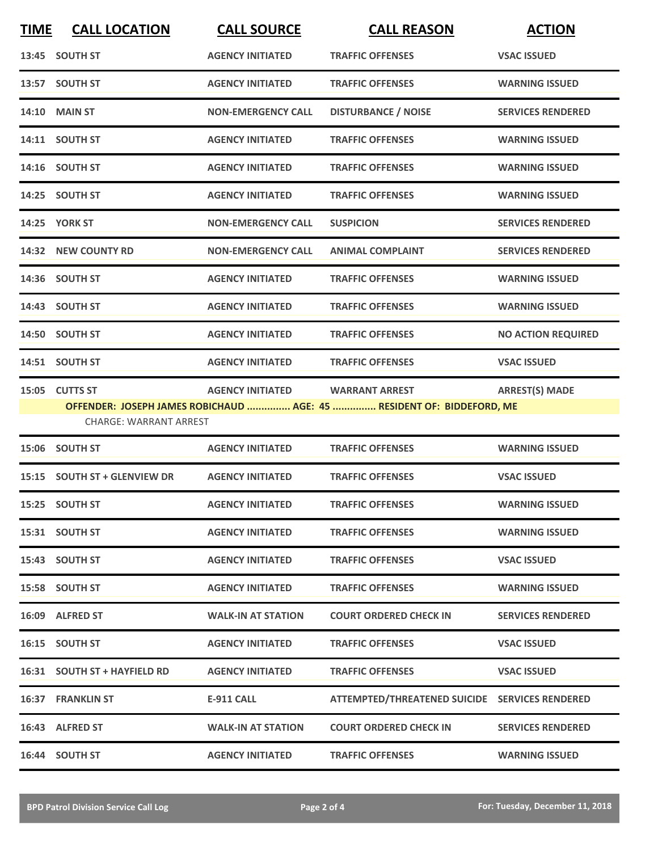| <b>TIME</b> | <b>CALL LOCATION</b>          | <b>CALL SOURCE</b>        | <b>CALL REASON</b>                                                    | <b>ACTION</b>             |  |
|-------------|-------------------------------|---------------------------|-----------------------------------------------------------------------|---------------------------|--|
|             | 13:45 SOUTH ST                | <b>AGENCY INITIATED</b>   | <b>TRAFFIC OFFENSES</b>                                               | <b>VSAC ISSUED</b>        |  |
|             | 13:57 SOUTH ST                | <b>AGENCY INITIATED</b>   | <b>TRAFFIC OFFENSES</b>                                               | <b>WARNING ISSUED</b>     |  |
|             | <b>14:10 MAIN ST</b>          | <b>NON-EMERGENCY CALL</b> | <b>DISTURBANCE / NOISE</b>                                            | <b>SERVICES RENDERED</b>  |  |
|             | 14:11 SOUTH ST                | <b>AGENCY INITIATED</b>   | <b>TRAFFIC OFFENSES</b>                                               | <b>WARNING ISSUED</b>     |  |
|             | 14:16 SOUTH ST                | <b>AGENCY INITIATED</b>   | <b>TRAFFIC OFFENSES</b>                                               | <b>WARNING ISSUED</b>     |  |
|             | 14:25 SOUTH ST                | <b>AGENCY INITIATED</b>   | <b>TRAFFIC OFFENSES</b>                                               | <b>WARNING ISSUED</b>     |  |
|             | 14:25 YORK ST                 | <b>NON-EMERGENCY CALL</b> | <b>SUSPICION</b>                                                      | <b>SERVICES RENDERED</b>  |  |
|             | 14:32 NEW COUNTY RD           | <b>NON-EMERGENCY CALL</b> | <b>ANIMAL COMPLAINT</b>                                               | <b>SERVICES RENDERED</b>  |  |
|             | 14:36 SOUTH ST                | <b>AGENCY INITIATED</b>   | <b>TRAFFIC OFFENSES</b>                                               | <b>WARNING ISSUED</b>     |  |
|             | 14:43 SOUTH ST                | <b>AGENCY INITIATED</b>   | <b>TRAFFIC OFFENSES</b>                                               | <b>WARNING ISSUED</b>     |  |
|             | 14:50 SOUTH ST                | <b>AGENCY INITIATED</b>   | <b>TRAFFIC OFFENSES</b>                                               | <b>NO ACTION REQUIRED</b> |  |
|             | 14:51 SOUTH ST                | <b>AGENCY INITIATED</b>   | <b>TRAFFIC OFFENSES</b>                                               | <b>VSAC ISSUED</b>        |  |
|             | 15:05 CUTTS ST                | <b>AGENCY INITIATED</b>   | <b>WARRANT ARREST</b>                                                 | <b>ARREST(S) MADE</b>     |  |
|             |                               |                           | OFFENDER: JOSEPH JAMES ROBICHAUD  AGE: 45  RESIDENT OF: BIDDEFORD, ME |                           |  |
|             | <b>CHARGE: WARRANT ARREST</b> |                           |                                                                       |                           |  |
|             | 15:06 SOUTH ST                | <b>AGENCY INITIATED</b>   | <b>TRAFFIC OFFENSES</b>                                               | <b>WARNING ISSUED</b>     |  |

|       | 15:06 SOUTH ST               | <b>AGENCY INITIATED</b>   | <b>TRAFFIC OFFENSES</b>                        | <b>WARNING ISSUED</b>    |
|-------|------------------------------|---------------------------|------------------------------------------------|--------------------------|
|       | 15:15 SOUTH ST + GLENVIEW DR | <b>AGENCY INITIATED</b>   | <b>TRAFFIC OFFENSES</b>                        | <b>VSAC ISSUED</b>       |
|       | 15:25 SOUTH ST               | <b>AGENCY INITIATED</b>   | <b>TRAFFIC OFFENSES</b>                        | <b>WARNING ISSUED</b>    |
|       | 15:31 SOUTH ST               | <b>AGENCY INITIATED</b>   | <b>TRAFFIC OFFENSES</b>                        | <b>WARNING ISSUED</b>    |
|       | 15:43 SOUTH ST               | <b>AGENCY INITIATED</b>   | <b>TRAFFIC OFFENSES</b>                        | <b>VSAC ISSUED</b>       |
|       | 15:58 SOUTH ST               | <b>AGENCY INITIATED</b>   | <b>TRAFFIC OFFENSES</b>                        | <b>WARNING ISSUED</b>    |
|       | 16:09 ALFRED ST              | <b>WALK-IN AT STATION</b> | <b>COURT ORDERED CHECK IN</b>                  | <b>SERVICES RENDERED</b> |
|       | 16:15 SOUTH ST               | <b>AGENCY INITIATED</b>   | <b>TRAFFIC OFFENSES</b>                        | <b>VSAC ISSUED</b>       |
|       | 16:31 SOUTH ST + HAYFIELD RD | <b>AGENCY INITIATED</b>   | <b>TRAFFIC OFFENSES</b>                        | <b>VSAC ISSUED</b>       |
| 16:37 | <b>FRANKLIN ST</b>           | <b>E-911 CALL</b>         | ATTEMPTED/THREATENED SUICIDE SERVICES RENDERED |                          |
|       | 16:43 ALFRED ST              | <b>WALK-IN AT STATION</b> | <b>COURT ORDERED CHECK IN</b>                  | <b>SERVICES RENDERED</b> |
| 16:44 | <b>SOUTH ST</b>              | <b>AGENCY INITIATED</b>   | <b>TRAFFIC OFFENSES</b>                        | <b>WARNING ISSUED</b>    |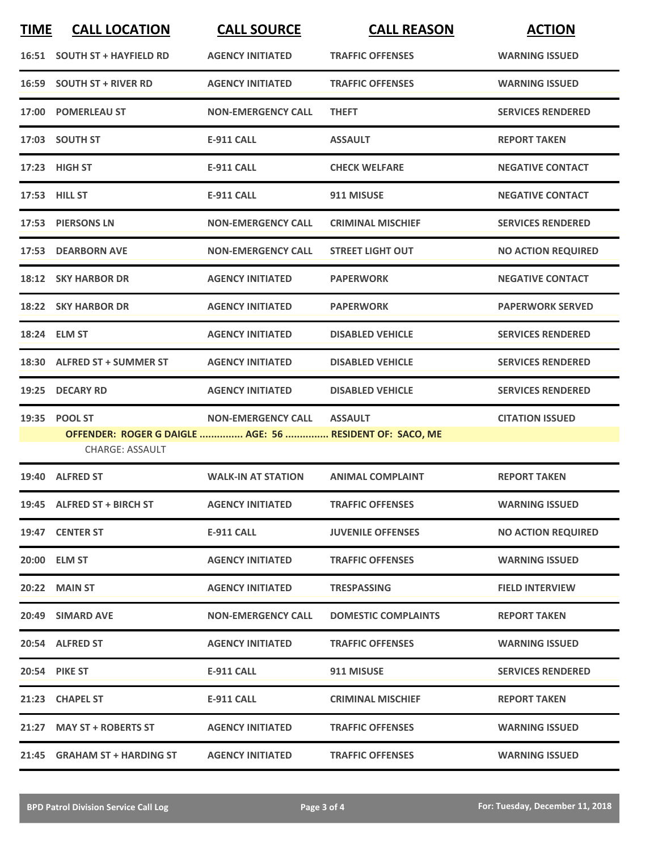| <b>TIME</b> | <b>CALL LOCATION</b>                                                               | <b>CALL SOURCE</b>        | <b>CALL REASON</b>         | <b>ACTION</b>             |
|-------------|------------------------------------------------------------------------------------|---------------------------|----------------------------|---------------------------|
|             | 16:51 SOUTH ST + HAYFIELD RD                                                       | <b>AGENCY INITIATED</b>   | <b>TRAFFIC OFFENSES</b>    | <b>WARNING ISSUED</b>     |
| 16:59       | <b>SOUTH ST + RIVER RD</b>                                                         | <b>AGENCY INITIATED</b>   | <b>TRAFFIC OFFENSES</b>    | <b>WARNING ISSUED</b>     |
|             | 17:00 POMERLEAU ST                                                                 | <b>NON-EMERGENCY CALL</b> | <b>THEFT</b>               | <b>SERVICES RENDERED</b>  |
|             | 17:03 SOUTH ST                                                                     | <b>E-911 CALL</b>         | <b>ASSAULT</b>             | <b>REPORT TAKEN</b>       |
|             | 17:23 HIGH ST                                                                      | <b>E-911 CALL</b>         | <b>CHECK WELFARE</b>       | <b>NEGATIVE CONTACT</b>   |
|             | 17:53 HILL ST                                                                      | <b>E-911 CALL</b>         | 911 MISUSE                 | <b>NEGATIVE CONTACT</b>   |
|             | 17:53 PIERSONS LN                                                                  | <b>NON-EMERGENCY CALL</b> | <b>CRIMINAL MISCHIEF</b>   | <b>SERVICES RENDERED</b>  |
|             | 17:53 DEARBORN AVE                                                                 | <b>NON-EMERGENCY CALL</b> | <b>STREET LIGHT OUT</b>    | <b>NO ACTION REQUIRED</b> |
|             | 18:12 SKY HARBOR DR                                                                | <b>AGENCY INITIATED</b>   | <b>PAPERWORK</b>           | <b>NEGATIVE CONTACT</b>   |
|             | 18:22 SKY HARBOR DR                                                                | <b>AGENCY INITIATED</b>   | <b>PAPERWORK</b>           | <b>PAPERWORK SERVED</b>   |
|             | 18:24 ELM ST                                                                       | <b>AGENCY INITIATED</b>   | <b>DISABLED VEHICLE</b>    | <b>SERVICES RENDERED</b>  |
|             | 18:30 ALFRED ST + SUMMER ST                                                        | <b>AGENCY INITIATED</b>   | <b>DISABLED VEHICLE</b>    | <b>SERVICES RENDERED</b>  |
|             | 19:25 DECARY RD                                                                    | <b>AGENCY INITIATED</b>   | <b>DISABLED VEHICLE</b>    | <b>SERVICES RENDERED</b>  |
|             | 19:35 POOL ST                                                                      | <b>NON-EMERGENCY CALL</b> | <b>ASSAULT</b>             | <b>CITATION ISSUED</b>    |
|             | OFFENDER: ROGER G DAIGLE  AGE: 56  RESIDENT OF: SACO, ME<br><b>CHARGE: ASSAULT</b> |                           |                            |                           |
|             | 19:40 ALFRED ST                                                                    | <b>WALK-IN AT STATION</b> | <b>ANIMAL COMPLAINT</b>    | <b>REPORT TAKEN</b>       |
|             | 19:45 ALFRED ST + BIRCH ST                                                         | <b>AGENCY INITIATED</b>   | <b>TRAFFIC OFFENSES</b>    | <b>WARNING ISSUED</b>     |
|             | 19:47 CENTER ST                                                                    | <b>E-911 CALL</b>         | <b>JUVENILE OFFENSES</b>   | <b>NO ACTION REQUIRED</b> |
|             | 20:00 ELM ST                                                                       | <b>AGENCY INITIATED</b>   | <b>TRAFFIC OFFENSES</b>    | <b>WARNING ISSUED</b>     |
|             | <b>20:22 MAIN ST</b>                                                               | <b>AGENCY INITIATED</b>   | <b>TRESPASSING</b>         | <b>FIELD INTERVIEW</b>    |
|             | 20:49 SIMARD AVE                                                                   | <b>NON-EMERGENCY CALL</b> | <b>DOMESTIC COMPLAINTS</b> | <b>REPORT TAKEN</b>       |
|             | 20:54 ALFRED ST                                                                    | <b>AGENCY INITIATED</b>   | <b>TRAFFIC OFFENSES</b>    | <b>WARNING ISSUED</b>     |
|             | <b>20:54 PIKE ST</b>                                                               | E-911 CALL                | 911 MISUSE                 | <b>SERVICES RENDERED</b>  |
|             | 21:23 CHAPEL ST                                                                    | <b>E-911 CALL</b>         | <b>CRIMINAL MISCHIEF</b>   | <b>REPORT TAKEN</b>       |
|             | 21:27 MAY ST + ROBERTS ST                                                          | <b>AGENCY INITIATED</b>   | <b>TRAFFIC OFFENSES</b>    | <b>WARNING ISSUED</b>     |
|             | 21:45 GRAHAM ST + HARDING ST                                                       | <b>AGENCY INITIATED</b>   | <b>TRAFFIC OFFENSES</b>    | <b>WARNING ISSUED</b>     |